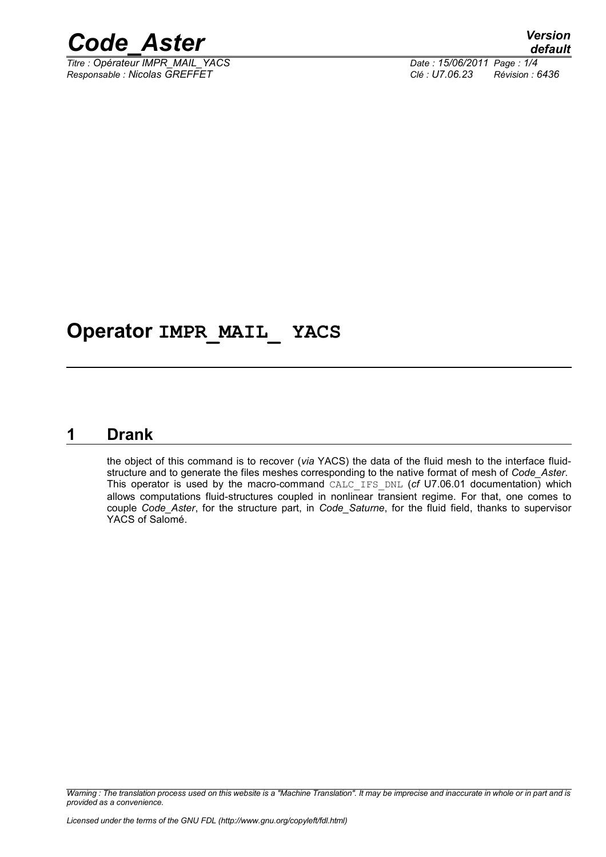

*Titre : Opérateur IMPR\_MAIL\_YACS Date : 15/06/2011 Page : 1/4 Responsable : Nicolas GREFFET Clé : U7.06.23 Révision : 6436*

## **Operator IMPR\_MAIL\_ YACS**

#### **1 Drank**

<span id="page-0-0"></span>the object of this command is to recover (*via* YACS) the data of the fluid mesh to the interface fluidstructure and to generate the files meshes corresponding to the native format of mesh of *Code\_Aster*. This operator is used by the macro-command CALC\_IFS\_DNL (*cf* U7.06.01 documentation) which allows computations fluid-structures coupled in nonlinear transient regime. For that, one comes to couple *Code\_Aster*, for the structure part, in *Code\_Saturne*, for the fluid field, thanks to supervisor YACS of Salomé.

*Warning : The translation process used on this website is a "Machine Translation". It may be imprecise and inaccurate in whole or in part and is provided as a convenience.*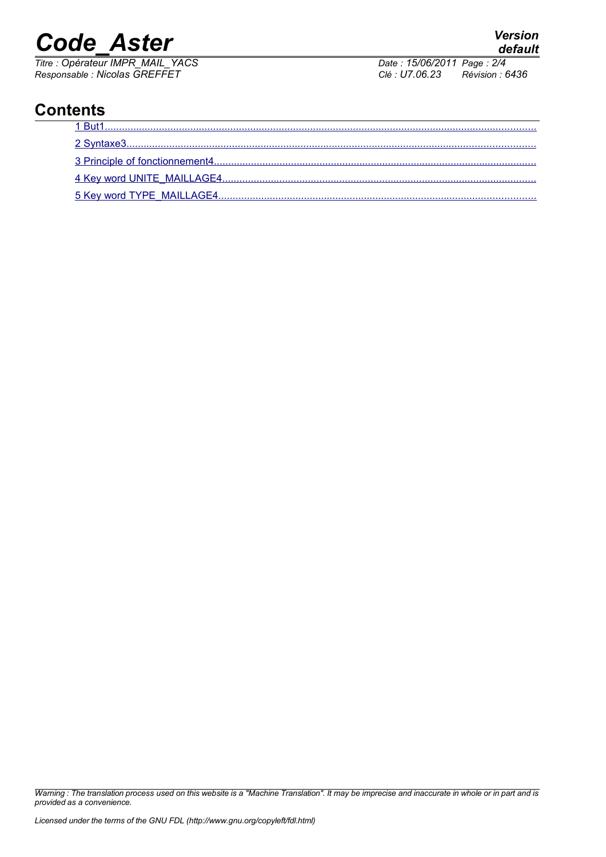# *Code\_Aster Version*

*Titre : Opérateur IMPR\_MAIL\_YACS Date : 15/06/2011 Page : 2/4 Responsable : Nicolas GREFFET Clé : U7.06.23 Révision : 6436*

### **Contents**

| 1 But1 |
|--------|
|        |
|        |
|        |
|        |

*Warning : The translation process used on this website is a "Machine Translation". It may be imprecise and inaccurate in whole or in part and is provided as a convenience.*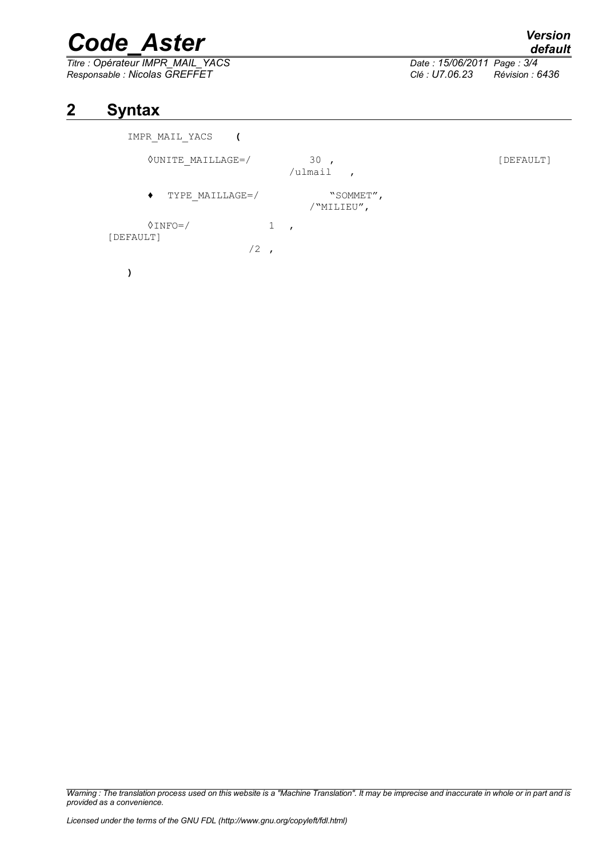# *Code\_Aster Version*

*Titre : Opérateur IMPR\_MAIL\_YACS Date : 15/06/2011 Page : 3/4 Responsable : Nicolas GREFFET Clé : U7.06.23 Révision : 6436*

#### **2 Syntax**

<span id="page-2-0"></span>

| IMPR MAIL YACS                 |                 |                                  |                         |  |
|--------------------------------|-----------------|----------------------------------|-------------------------|--|
| <b>OUNITE MAILLAGE=/</b>       |                 | 30,<br>/ulmail<br>$\overline{ }$ | [DEFAULT]               |  |
| $\bullet$                      | TYPE MAILLAGE=/ |                                  | "SOMMET",<br>/"MILIEU", |  |
| $\Diamond$ INFO=/<br>[DEFAULT] |                 |                                  |                         |  |
|                                | /2              |                                  |                         |  |
|                                |                 |                                  |                         |  |

*Warning : The translation process used on this website is a "Machine Translation". It may be imprecise and inaccurate in whole or in part and is provided as a convenience.*